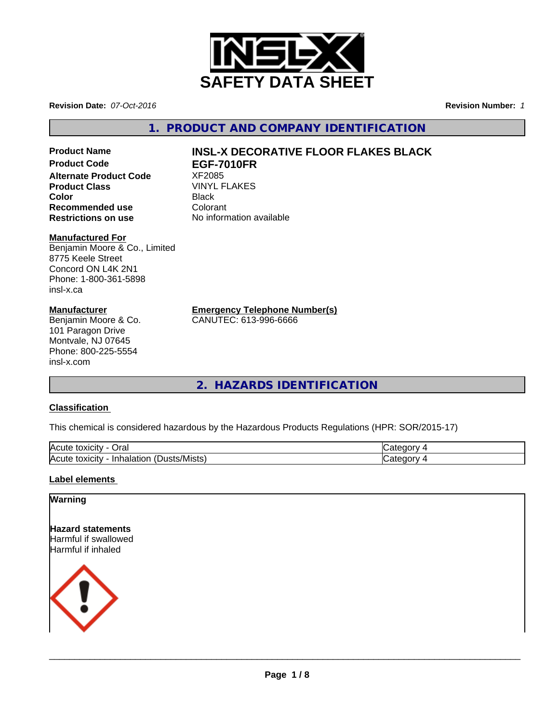

**Revision Date:** *07-Oct-2016* **Revision Number:** *1*

**1. PRODUCT AND COMPANY IDENTIFICATION**

**Alternate Product Code** XF2085 **Product Class**<br> **Color Color Color Color Color Color Color Color Color Color Color Color Color Color Color Color Color Color Color Color Color Color Color Color Color Colo Color** Black **Recommended use Colorant**<br> **Restrictions on use Colorant** No information available **Restrictions on use** 

#### **Manufactured For**

Benjamin Moore & Co., Limited 8775 Keele Street Concord ON L4K 2N1 Phone: 1-800-361-5898 insl-x.ca

#### **Manufacturer**

Benjamin Moore & Co. 101 Paragon Drive Montvale, NJ 07645 Phone: 800-225-5554 insl-x.com

# Product Name<br> **Product Code**<br> **Product Code**<br> **INSL-X DECORATIVE FLOOR FLAKES BLACK**<br> **Product Code**<br> **Product Code Product Code EGF-7010FR**

**Emergency Telephone Number(s)**

CANUTEC: 613-996-6666

**2. HAZARDS IDENTIFICATION**

### **Classification**

This chemical is considered hazardous by the Hazardous Products Regulations (HPR: SOR/2015-17)

| <b>IAC</b><br>Oral<br><b>IOXICIT</b><br>ע ו                                      | - -      |
|----------------------------------------------------------------------------------|----------|
| $\blacksquare$<br>lAcı<br>∵/Mists<br>Inhalation<br>toxicity<br><b>ust</b><br>. . | ж<br>. . |

#### **Label elements**

#### **Warning**

**Hazard statements** Harmful if swallowed Harmful if inhaled



 $\overline{\phantom{a}}$  ,  $\overline{\phantom{a}}$  ,  $\overline{\phantom{a}}$  ,  $\overline{\phantom{a}}$  ,  $\overline{\phantom{a}}$  ,  $\overline{\phantom{a}}$  ,  $\overline{\phantom{a}}$  ,  $\overline{\phantom{a}}$  ,  $\overline{\phantom{a}}$  ,  $\overline{\phantom{a}}$  ,  $\overline{\phantom{a}}$  ,  $\overline{\phantom{a}}$  ,  $\overline{\phantom{a}}$  ,  $\overline{\phantom{a}}$  ,  $\overline{\phantom{a}}$  ,  $\overline{\phantom{a}}$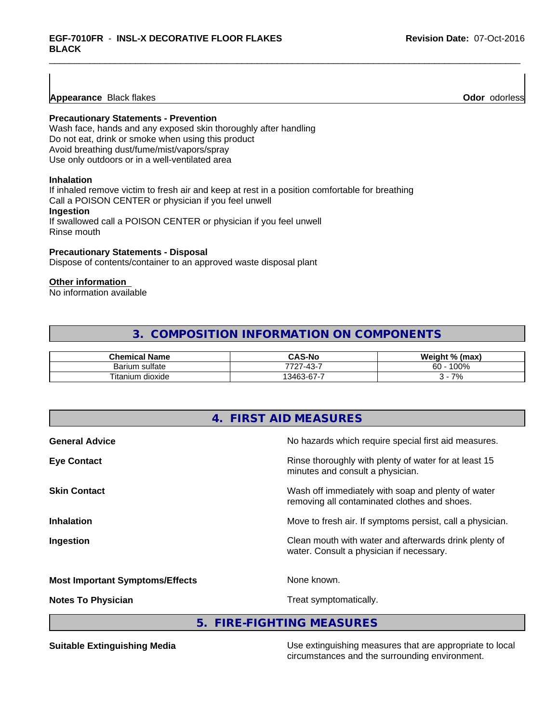**Appearance** Black flakes **Odor** odorless

#### **Precautionary Statements - Prevention**

Wash face, hands and any exposed skin thoroughly after handling Do not eat, drink or smoke when using this product Avoid breathing dust/fume/mist/vapors/spray Use only outdoors or in a well-ventilated area

#### **Inhalation**

If inhaled remove victim to fresh air and keep at rest in a position comfortable for breathing Call a POISON CENTER or physician if you feel unwell **Ingestion**

If swallowed call a POISON CENTER or physician if you feel unwell Rinse mouth

#### **Precautionary Statements - Disposal**

Dispose of contents/container to an approved waste disposal plant

#### **Other information**

No information available

# **3. COMPOSITION INFORMATION ON COMPONENTS**

| <b>Chemical Name</b>      | <b>CAS-No</b>                                                     | Weight % (max) |
|---------------------------|-------------------------------------------------------------------|----------------|
| Barium sulfate            | 13.<br>-<br>フフハ<br>$\sim$<br>− ∪<br>.                             | 100%<br>60     |
| Titaniu<br>dioxide<br>յum | -<br>$\sim$<br>$\sqrt{2}$<br>$\overline{\phantom{0}}$<br>346<br>v | 70/<br>70      |

| No hazards which require special first aid measures.      |
|-----------------------------------------------------------|
|                                                           |
| Rinse thoroughly with plenty of water for at least 15     |
| Wash off immediately with soap and plenty of water        |
| Move to fresh air. If symptoms persist, call a physician. |
| Clean mouth with water and afterwards drink plenty of     |
|                                                           |
|                                                           |
|                                                           |

**5. FIRE-FIGHTING MEASURES**

**Suitable Extinguishing Media** Media Use extinguishing measures that are appropriate to local circumstances and the surrounding environment.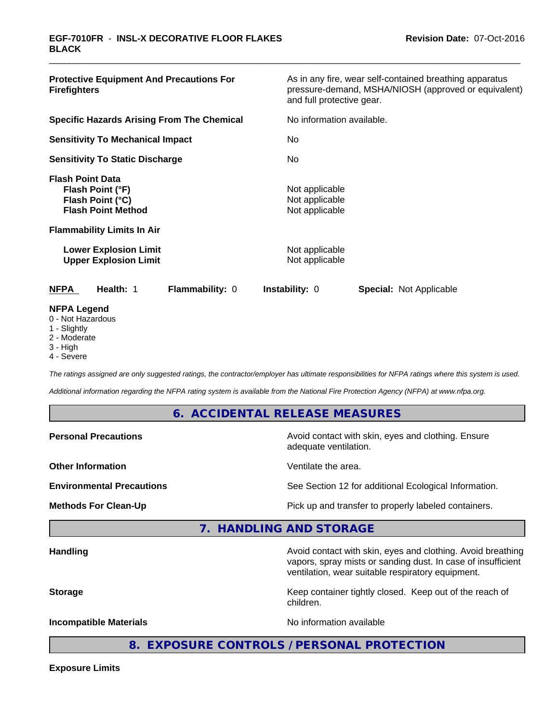| <b>Protective Equipment And Precautions For</b><br><b>Firefighters</b>                                                                                            | As in any fire, wear self-contained breathing apparatus<br>pressure-demand, MSHA/NIOSH (approved or equivalent)<br>and full protective gear. |  |  |
|-------------------------------------------------------------------------------------------------------------------------------------------------------------------|----------------------------------------------------------------------------------------------------------------------------------------------|--|--|
| <b>Specific Hazards Arising From The Chemical</b>                                                                                                                 | No information available.                                                                                                                    |  |  |
| <b>Sensitivity To Mechanical Impact</b>                                                                                                                           | No.                                                                                                                                          |  |  |
| <b>Sensitivity To Static Discharge</b>                                                                                                                            | No.                                                                                                                                          |  |  |
| <b>Flash Point Data</b><br>Flash Point (°F)<br>Flash Point (°C)<br><b>Flash Point Method</b><br><b>Flammability Limits In Air</b><br><b>Lower Explosion Limit</b> | Not applicable<br>Not applicable<br>Not applicable<br>Not applicable                                                                         |  |  |
| <b>Upper Explosion Limit</b>                                                                                                                                      | Not applicable                                                                                                                               |  |  |
| Health: 1<br><b>NFPA</b><br><b>Flammability: 0</b>                                                                                                                | <b>Instability: 0</b><br><b>Special: Not Applicable</b>                                                                                      |  |  |
| <b>NFPA Legend</b><br>0 - Not Hazardous<br>1 - Slightly                                                                                                           |                                                                                                                                              |  |  |

- 2 Moderate
- 3 High
- 4 Severe

*The ratings assigned are only suggested ratings, the contractor/employer has ultimate responsibilities for NFPA ratings where this system is used.*

*Additional information regarding the NFPA rating system is available from the National Fire Protection Agency (NFPA) at www.nfpa.org.*

#### **6. ACCIDENTAL RELEASE MEASURES**

| <b>Personal Precautions</b>      | Avoid contact with skin, eyes and clothing. Ensure<br>adequate ventilation.                                                 |
|----------------------------------|-----------------------------------------------------------------------------------------------------------------------------|
| <b>Other Information</b>         | Ventilate the area.                                                                                                         |
| <b>Environmental Precautions</b> | See Section 12 for additional Ecological Information.                                                                       |
| <b>Methods For Clean-Up</b>      | Pick up and transfer to properly labeled containers.                                                                        |
|                                  | 7. HANDLING AND STORAGE                                                                                                     |
| <b>Handling</b>                  | Avoid contact with skin, eyes and clothing. Avoid breathing<br>vapors, spray mists or sanding dust. In case of insufficient |

**Storage** Keep container tightly closed. Keep out of the reach of

children.

ventilation, wear suitable respiratory equipment.

**Incompatible Materials Incompatible Materials No information available** 

**8. EXPOSURE CONTROLS / PERSONAL PROTECTION**

**Exposure Limits**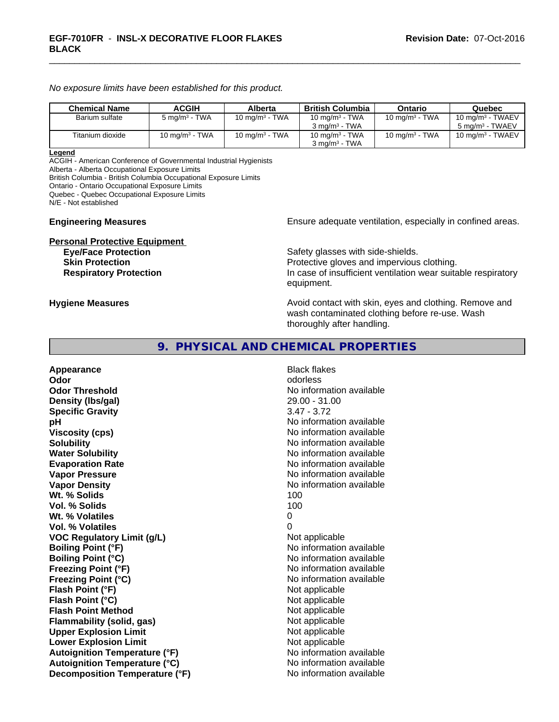*No exposure limits have been established for this product.*

| <b>Chemical Name</b> | <b>ACGIH</b>             | Alberta                    | British Columbia                                       | Ontario           | Quebec                                             |
|----------------------|--------------------------|----------------------------|--------------------------------------------------------|-------------------|----------------------------------------------------|
| Barium sulfate       | $5 \text{ mg/m}^3$ - TWA | 10 mg/m <sup>3</sup> - TWA | 10 mg/m <sup>3</sup> - TWA<br>$3 \text{ ma/m}^3$ - TWA | 10 mg/m $3$ - TWA | 10 mg/m $3$ - TWAEV<br>5 mg/m <sup>3</sup> - TWAEV |
| Titanium dioxide     | 10 mg/m $3$ - TWA        | 10 mg/m $3$ - TWA          | 10 mg/m $3$ - TWA<br>$3 \text{ ma/m}^3$ - TWA          | 10 mg/m $3$ - TWA | 10 mg/m $3$ - TWAEV                                |

#### **Legend**

ACGIH - American Conference of Governmental Industrial Hygienists Alberta - Alberta Occupational Exposure Limits

British Columbia - British Columbia Occupational Exposure Limits

Ontario - Ontario Occupational Exposure Limits

Quebec - Quebec Occupational Exposure Limits

N/E - Not established

# **Personal Protective Equipment**

**Engineering Measures Ensure** Ensure adequate ventilation, especially in confined areas.

Safety glasses with side-shields. **Skin Protection Protection Protective gloves and impervious clothing. Respiratory Protection In case of insufficient ventilation wear suitable respiratory** equipment.

**Hygiene Measures Avoid contact with skin, eyes and clothing. Remove and Avoid contact with skin, eyes and clothing. Remove and Avoid contact with skin, eyes and clothing. Remove and** wash contaminated clothing before re-use. Wash thoroughly after handling.

### **9. PHYSICAL AND CHEMICAL PROPERTIES**

**Appearance** Black flakes **Odor** odorless **Odor Threshold No information available** No information available **Density (lbs/gal)** 29.00 - 31.00 **Specific Gravity** 3.47 - 3.72 **pH pH**  $\blacksquare$ **Viscosity (cps)** No information available **Solubility No information available No information available Water Solubility No information available No information available Evaporation Rate No information available No information available Vapor Pressure** No information available **Vapor Density No information available No information available Wt. % Solids** 100 **Vol. % Solids** 100 Wt. % Volatiles 0 **Vol. % Volatiles** 0 **VOC** Regulatory Limit (g/L) Not applicable **Boiling Point (°F)** No information available **Boiling Point (°C)** No information available **Freezing Point (°F)** No information available **Freezing Point (°C)** The state of the Mondo No information available **Flash Point (°F)** Not applicable **Flash Point (°C)** Not applicable **Flash Point Method** Not applicable **Flammability (solid, gas)** Not applicable **Upper Explosion Limit** Not applicable **Lower Explosion Limit Contract Accord Accord Accord Accord Accord Accord Accord Accord Accord Accord Accord Accord Accord Accord Accord Accord Accord Accord Accord Accord Accord Accord Accord Accord Accord Accord Accord Autoignition Temperature (°F)** No information available **Autoignition Temperature (°C)** No information available **Decomposition Temperature (°F)** No information available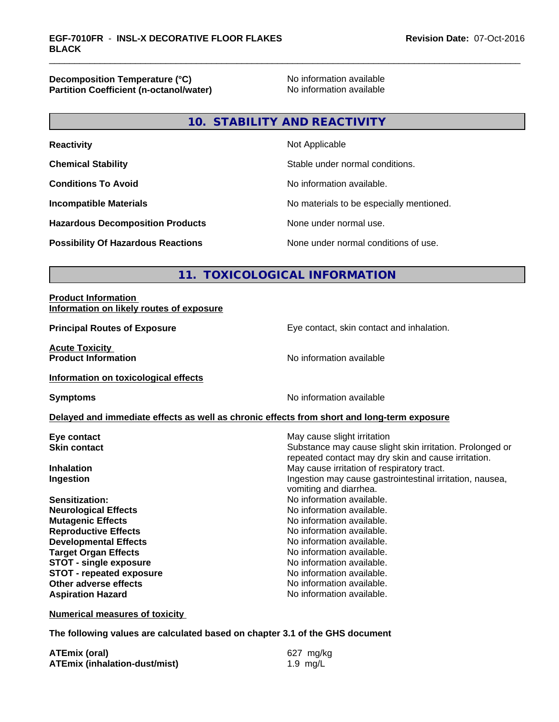**Decomposition Temperature (°C)**<br> **Partition Coefficient (n-octanol/water)** No information available **Partition Coefficient (n-octanol/water)** 

# **10. STABILITY AND REACTIVITY**

| <b>Reactivity</b>                         | Not Applicable                           |
|-------------------------------------------|------------------------------------------|
| <b>Chemical Stability</b>                 | Stable under normal conditions.          |
| <b>Conditions To Avoid</b>                | No information available.                |
| <b>Incompatible Materials</b>             | No materials to be especially mentioned. |
| <b>Hazardous Decomposition Products</b>   | None under normal use.                   |
| <b>Possibility Of Hazardous Reactions</b> | None under normal conditions of use.     |

# **11. TOXICOLOGICAL INFORMATION**

#### **Product Information Information on likely routes of exposure**

**Acute Toxicity Product Information** 

**Principal Routes of Exposure Exposure** Eye contact, skin contact and inhalation.

**Information on toxicological effects**

**Symptoms** No information available

#### **Delayed and immediate effects as well as chronic effects from short and long-term exposure**

**Eye contact Execution Skin contact** May cause slight irritation<br> **Skin contact** Contact Contact Contact Contact Contact Contact Contact Contact Contact Contact Contact Contact Conta

**Neurological Effects** Noinformation available. **Mutagenic Effects Mutagenic Effects No information available. Reproductive Effects No information available. Developmental Effects No information available.**<br> **Paraet Organ Effects No information available. Target Organ Effects**<br> **STOT - single exposure**<br>
STOT - single exposure<br>
No information available. **STOT** - single exposure **STOT** - **repeated exposure** *CON* **Other adverse effects**<br> **Aspiration Hazard**<br> **Aspiration Hazard**<br> **Aspiration Hazard**<br> **No information available Aspiration Hazard** 

Substance may cause slight skin irritation. Prolonged or repeated contact may dry skin and cause irritation. **Inhalation** May cause irritation of respiratory tract. **Ingestion Ingestion Ingestion may cause gastrointestinal irritation, nausea,** vomiting and diarrhea.

**Sensitization:** No information available.

**Numerical measures of toxicity**

**The following values are calculated based on chapter 3.1 of the GHS document**

| <b>ATEmix (oral)</b>                 | 627 mg/kg |
|--------------------------------------|-----------|
| <b>ATEmix (inhalation-dust/mist)</b> | 1.9 mg/L  |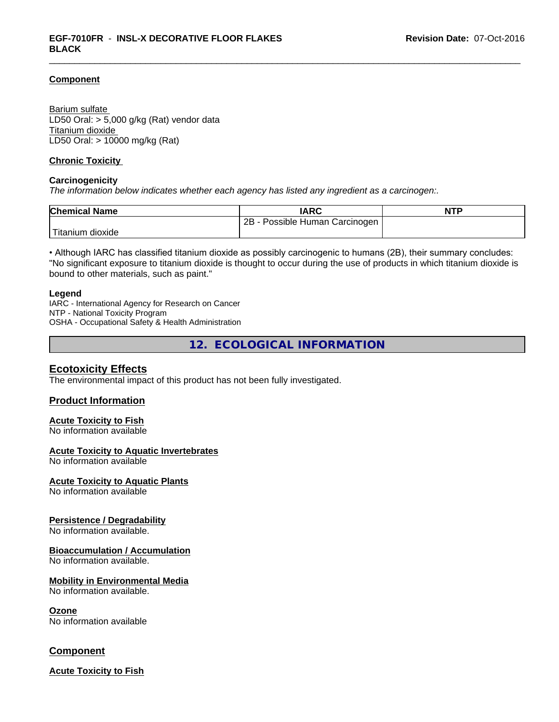#### **Component**

Barium sulfate LD50 Oral: > 5,000 g/kg (Rat) vendor data Titanium dioxide LD50 Oral: > 10000 mg/kg (Rat)

#### **Chronic Toxicity**

#### **Carcinogenicity**

*The information below indicateswhether each agency has listed any ingredient as a carcinogen:.*

| <b>Chemical Name</b> | <b>IARC</b>                         | <b>NTP</b> |
|----------------------|-------------------------------------|------------|
|                      | 2Β<br>Possible Human<br>⊦Carcinogen |            |
| dioxide<br>itanium   |                                     |            |

• Although IARC has classified titanium dioxide as possibly carcinogenic to humans (2B), their summary concludes: "No significant exposure to titanium dioxide is thought to occur during the use of products in which titanium dioxide is bound to other materials, such as paint."

#### **Legend**

IARC - International Agency for Research on Cancer NTP - National Toxicity Program OSHA - Occupational Safety & Health Administration

**12. ECOLOGICAL INFORMATION**

# **Ecotoxicity Effects**

The environmental impact of this product has not been fully investigated.

#### **Product Information**

#### **Acute Toxicity to Fish**

No information available

#### **Acute Toxicity to Aquatic Invertebrates**

No information available

#### **Acute Toxicity to Aquatic Plants**

No information available

#### **Persistence / Degradability**

No information available.

#### **Bioaccumulation / Accumulation**

No information available.

#### **Mobility in Environmental Media**

No information available.

#### **Ozone**

No information available

# **Component**

**Acute Toxicity to Fish**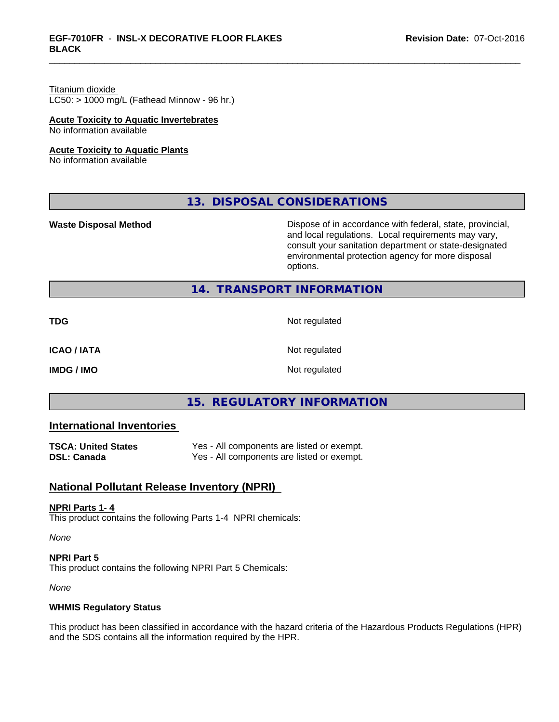# Titanium dioxide

 $LC50:$  > 1000 mg/L (Fathead Minnow - 96 hr.)

#### **Acute Toxicity to Aquatic Invertebrates**

No information available

#### **Acute Toxicity to Aquatic Plants**

No information available

# **13. DISPOSAL CONSIDERATIONS**

**Waste Disposal Method Dispose of in accordance with federal, state, provincial,** and local regulations. Local requirements may vary, consult your sanitation department or state-designated environmental protection agency for more disposal options.

# **14. TRANSPORT INFORMATION**

**TDG** Not regulated

**ICAO / IATA** Not regulated

**IMDG / IMO** Not regulated

# **15. REGULATORY INFORMATION**

# **International Inventories**

| <b>TSCA: United States</b> | Yes - All components are listed or exempt. |
|----------------------------|--------------------------------------------|
| <b>DSL: Canada</b>         | Yes - All components are listed or exempt. |

# **National Pollutant Release Inventory (NPRI)**

#### **NPRI Parts 1- 4**

This product contains the following Parts 1-4 NPRI chemicals:

*None*

**NPRI Part 5** This product contains the following NPRI Part 5 Chemicals:

*None*

#### **WHMIS Regulatory Status**

This product has been classified in accordance with the hazard criteria of the Hazardous Products Regulations (HPR) and the SDS contains all the information required by the HPR.